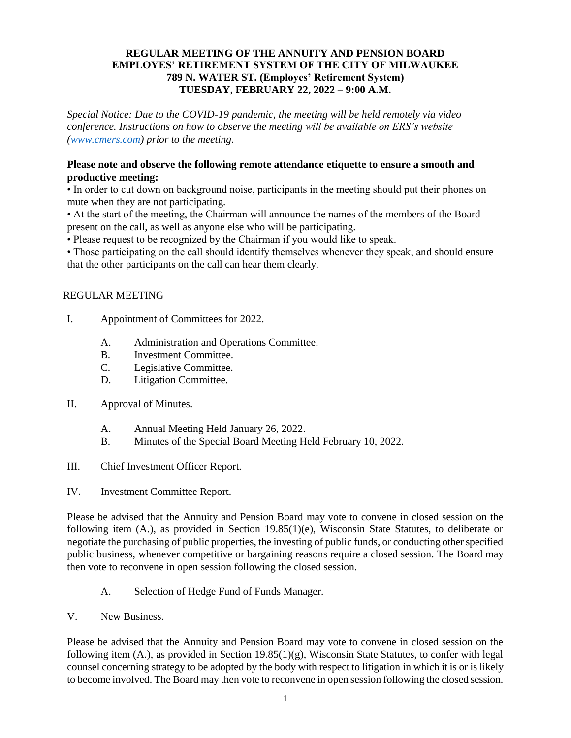#### **REGULAR MEETING OF THE ANNUITY AND PENSION BOARD EMPLOYES' RETIREMENT SYSTEM OF THE CITY OF MILWAUKEE 789 N. WATER ST. (Employes' Retirement System) TUESDAY, FEBRUARY 22, 2022 – 9:00 A.M.**

*Special Notice: Due to the COVID-19 pandemic, the meeting will be held remotely via video conference. Instructions on how to observe the meeting will be available on ERS's website [\(www.cmers.com\)](http://www.cmers.com/) prior to the meeting.*

#### **Please note and observe the following remote attendance etiquette to ensure a smooth and productive meeting:**

• In order to cut down on background noise, participants in the meeting should put their phones on mute when they are not participating.

• At the start of the meeting, the Chairman will announce the names of the members of the Board present on the call, as well as anyone else who will be participating.

• Please request to be recognized by the Chairman if you would like to speak.

• Those participating on the call should identify themselves whenever they speak, and should ensure that the other participants on the call can hear them clearly.

## REGULAR MEETING

- I. Appointment of Committees for 2022.
	- A. Administration and Operations Committee.
	- B. Investment Committee.
	- C. Legislative Committee.
	- D. Litigation Committee.
- II. Approval of Minutes.
	- A. Annual Meeting Held January 26, 2022.
	- B. Minutes of the Special Board Meeting Held February 10, 2022.
- III. Chief Investment Officer Report.
- IV. Investment Committee Report.

Please be advised that the Annuity and Pension Board may vote to convene in closed session on the following item (A.), as provided in Section 19.85(1)(e), Wisconsin State Statutes, to deliberate or negotiate the purchasing of public properties, the investing of public funds, or conducting other specified public business, whenever competitive or bargaining reasons require a closed session. The Board may then vote to reconvene in open session following the closed session.

- A. Selection of Hedge Fund of Funds Manager.
- V. New Business.

Please be advised that the Annuity and Pension Board may vote to convene in closed session on the following item  $(A)$ , as provided in Section 19.85 $(1)(g)$ , Wisconsin State Statutes, to confer with legal counsel concerning strategy to be adopted by the body with respect to litigation in which it is or is likely to become involved. The Board may then vote to reconvene in open session following the closed session.